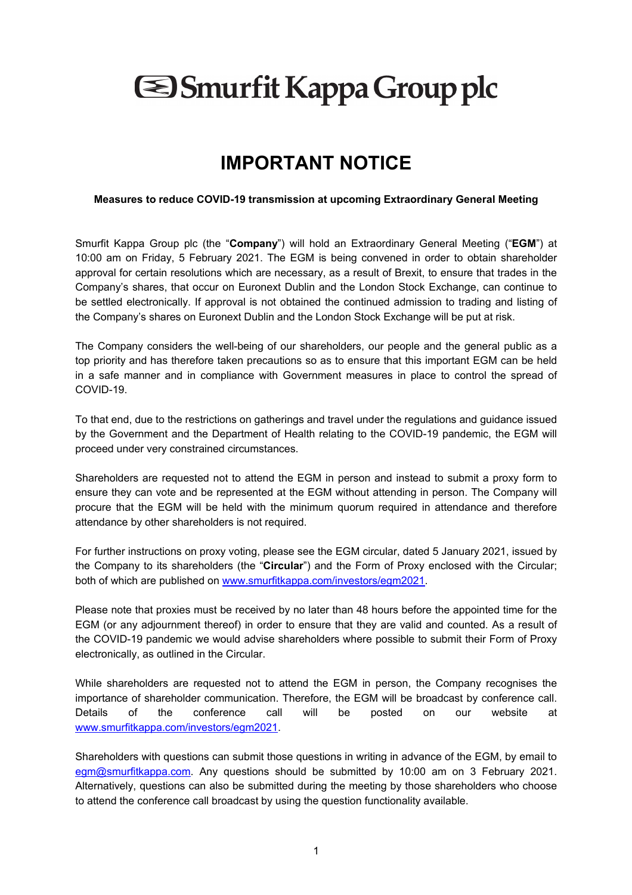## **Shaurfit Kappa Group plc**

## **IMPORTANT NOTICE**

## **Measures to reduce COVID-19 transmission at upcoming Extraordinary General Meeting**

Smurfit Kappa Group plc (the "**Company**") will hold an Extraordinary General Meeting ("**EGM**") at 10:00 am on Friday, 5 February 2021. The EGM is being convened in order to obtain shareholder approval for certain resolutions which are necessary, as a result of Brexit, to ensure that trades in the Company's shares, that occur on Euronext Dublin and the London Stock Exchange, can continue to be settled electronically. If approval is not obtained the continued admission to trading and listing of the Company's shares on Euronext Dublin and the London Stock Exchange will be put at risk.

The Company considers the well-being of our shareholders, our people and the general public as a top priority and has therefore taken precautions so as to ensure that this important EGM can be held in a safe manner and in compliance with Government measures in place to control the spread of COVID-19.

To that end, due to the restrictions on gatherings and travel under the regulations and guidance issued by the Government and the Department of Health relating to the COVID-19 pandemic, the EGM will proceed under very constrained circumstances.

Shareholders are requested not to attend the EGM in person and instead to submit a proxy form to ensure they can vote and be represented at the EGM without attending in person. The Company will procure that the EGM will be held with the minimum quorum required in attendance and therefore attendance by other shareholders is not required.

For further instructions on proxy voting, please see the EGM circular, dated 5 January 2021, issued by the Company to its shareholders (the "**Circular**") and the Form of Proxy enclosed with the Circular; both of which are published on www.smurfitkappa.com/investors/egm2021.

Please note that proxies must be received by no later than 48 hours before the appointed time for the EGM (or any adjournment thereof) in order to ensure that they are valid and counted. As a result of the COVID-19 pandemic we would advise shareholders where possible to submit their Form of Proxy electronically, as outlined in the Circular.

While shareholders are requested not to attend the EGM in person, the Company recognises the importance of shareholder communication. Therefore, the EGM will be broadcast by conference call. Details of the conference call will be posted on our website at www.smurfitkappa.com/investors/egm2021.

Shareholders with questions can submit those questions in writing in advance of the EGM, by email to egm@smurfitkappa.com. Any questions should be submitted by 10:00 am on 3 February 2021. Alternatively, questions can also be submitted during the meeting by those shareholders who choose to attend the conference call broadcast by using the question functionality available.